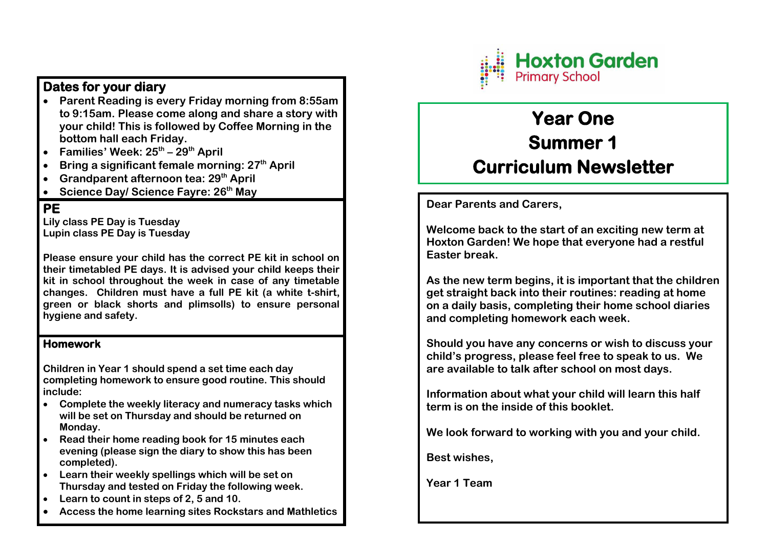## **Dates for your diary**

- **Parent Reading is every Friday morning from 8:55am to 9:15am. Please come along and share a story with your child! This is followed by Coffee Morning in the bottom hall each Friday.**
- **Families' Week: 25th – 29th April**
- **Bring a significant female morning: 27th April**
- **Grandparent afternoon tea: 29th April**
- **Science Day/ Science Fayre: 26th May**

## **PE**

**Lily class PE Day is Tuesday Lupin class PE Day is Tuesday** 

**Please ensure your child has the correct PE kit in school on their timetabled PE days. It is advised your child keeps their kit in school throughout the week in case of any timetable changes. Children must have a full PE kit (a white t-shirt, green or black shorts and plimsolls) to ensure personal hygiene and safety.**

## **Homework**

**Children in Year 1 should spend a set time each day completing homework to ensure good routine. This should include:** 

- **Complete the weekly literacy and numeracy tasks which will be set on Thursday and should be returned on Monday.**
- **Read their home reading book for 15 minutes each evening (please sign the diary to show this has been completed).**
- **Learn their weekly spellings which will be set on Thursday and tested on Friday the following week.**
- **Learn to count in steps of 2, 5 and 10.**
- **Access the home learning sites Rockstars and Mathletics**



# **Year One Summer 1 Curriculum Newsletter**

**Dear Parents and Carers,** 

**Welcome back to the start of an exciting new term at Hoxton Garden! We hope that everyone had a restful Easter break.** 

**As the new term begins, it is important that the children get straight back into their routines: reading at home on a daily basis, completing their home school diaries and completing homework each week.** 

**Should you have any concerns or wish to discuss your child's progress, please feel free to speak to us. We are available to talk after school on most days.** 

**Information about what your child will learn this half term is on the inside of this booklet.** 

**We look forward to working with you and your child.** 

**Best wishes,** 

**Year 1 Team**